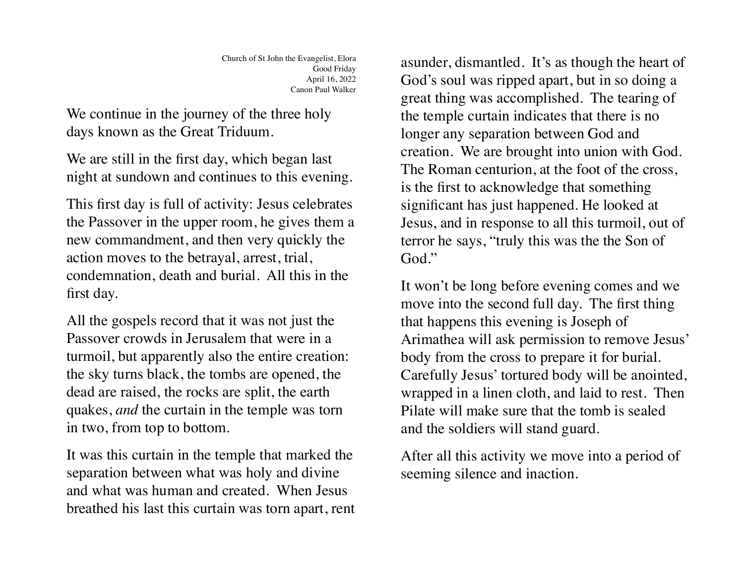We continue in the journey of the three holy days known as the Great Triduum.

We are still in the first day, which began last night at sundown and continues to this evening.

This first day is full of activity: Jesus celebrates the Passover in the upper room, he gives them a new commandment, and then very quickly the action moves to the betrayal, arrest, trial, condemnation, death and burial. All this in the first day.

All the gospels record that it was not just the Passover crowds in Jerusalem that were in a turmoil, but apparently also the entire creation: the sky turns black, the tombs are opened, the dead are raised, the rocks are split, the earth quakes, *and* the curtain in the temple was torn in two, from top to bottom.

It was this curtain in the temple that marked the separation between what was holy and divine and what was human and created. When Jesus breathed his last this curtain was torn apart, rent

asunder, dismantled. It's as though the heart of God's soul was ripped apart, but in so doing a great thing was accomplished. The tearing of the temple curtain indicates that there is no longer any separation between God and creation. We are brought into union with God. The Roman centurion, at the foot of the cross, is the first to acknowledge that something significant has just happened. He looked at Jesus, and in response to all this turmoil, out of terror he says, "truly this was the the Son of God."

It won't be long before evening comes and we move into the second full day. The first thing that happens this evening is Joseph of Arimathea will ask permission to remove Jesus' body from the cross to prepare it for burial. Carefully Jesus' tortured body will be anointed, wrapped in a linen cloth, and laid to rest. Then Pilate will make sure that the tomb is sealed and the soldiers will stand guard.

After all this activity we move into a period of seeming silence and inaction.